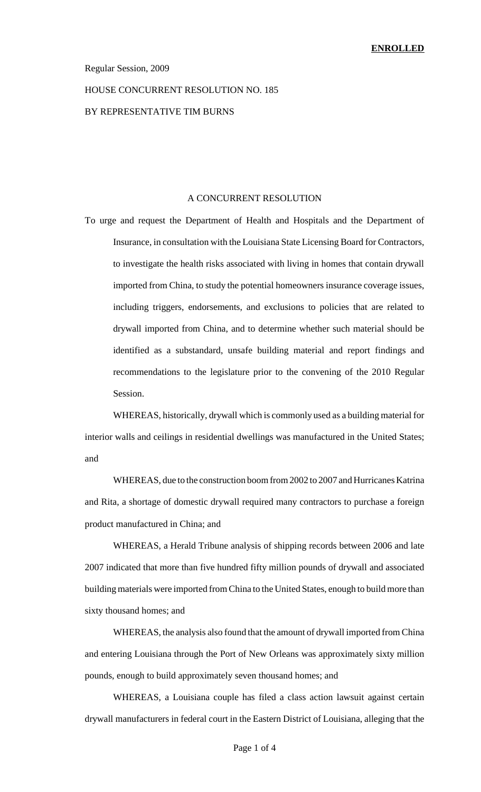#### Regular Session, 2009

### HOUSE CONCURRENT RESOLUTION NO. 185

### BY REPRESENTATIVE TIM BURNS

#### A CONCURRENT RESOLUTION

To urge and request the Department of Health and Hospitals and the Department of Insurance, in consultation with the Louisiana State Licensing Board for Contractors, to investigate the health risks associated with living in homes that contain drywall imported from China, to study the potential homeowners insurance coverage issues, including triggers, endorsements, and exclusions to policies that are related to drywall imported from China, and to determine whether such material should be identified as a substandard, unsafe building material and report findings and recommendations to the legislature prior to the convening of the 2010 Regular Session.

WHEREAS, historically, drywall which is commonly used as a building material for interior walls and ceilings in residential dwellings was manufactured in the United States; and

WHEREAS, due to the construction boom from 2002 to 2007 and Hurricanes Katrina and Rita, a shortage of domestic drywall required many contractors to purchase a foreign product manufactured in China; and

WHEREAS, a Herald Tribune analysis of shipping records between 2006 and late 2007 indicated that more than five hundred fifty million pounds of drywall and associated building materials were imported from China to the United States, enough to build more than sixty thousand homes; and

WHEREAS, the analysis also found that the amount of drywall imported from China and entering Louisiana through the Port of New Orleans was approximately sixty million pounds, enough to build approximately seven thousand homes; and

WHEREAS, a Louisiana couple has filed a class action lawsuit against certain drywall manufacturers in federal court in the Eastern District of Louisiana, alleging that the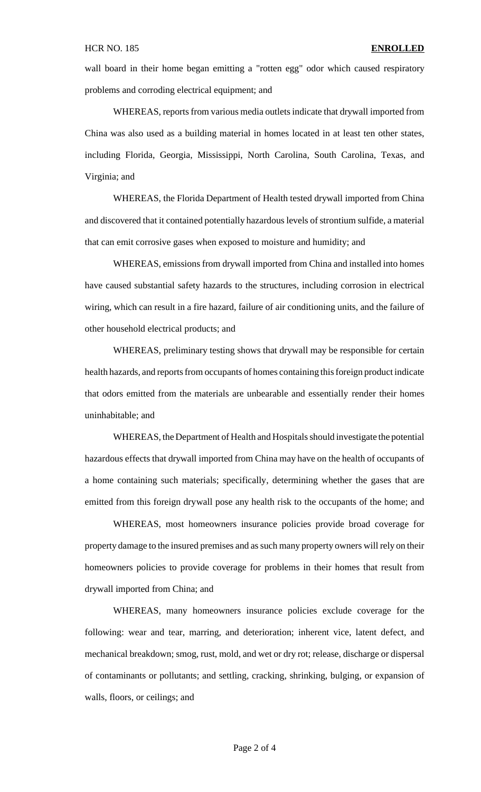wall board in their home began emitting a "rotten egg" odor which caused respiratory problems and corroding electrical equipment; and

WHEREAS, reports from various media outlets indicate that drywall imported from China was also used as a building material in homes located in at least ten other states, including Florida, Georgia, Mississippi, North Carolina, South Carolina, Texas, and Virginia; and

WHEREAS, the Florida Department of Health tested drywall imported from China and discovered that it contained potentially hazardous levels of strontium sulfide, a material that can emit corrosive gases when exposed to moisture and humidity; and

WHEREAS, emissions from drywall imported from China and installed into homes have caused substantial safety hazards to the structures, including corrosion in electrical wiring, which can result in a fire hazard, failure of air conditioning units, and the failure of other household electrical products; and

WHEREAS, preliminary testing shows that drywall may be responsible for certain health hazards, and reports from occupants of homes containing this foreign product indicate that odors emitted from the materials are unbearable and essentially render their homes uninhabitable; and

WHEREAS, the Department of Health and Hospitals should investigate the potential hazardous effects that drywall imported from China may have on the health of occupants of a home containing such materials; specifically, determining whether the gases that are emitted from this foreign drywall pose any health risk to the occupants of the home; and

WHEREAS, most homeowners insurance policies provide broad coverage for property damage to the insured premises and as such many property owners will rely on their homeowners policies to provide coverage for problems in their homes that result from drywall imported from China; and

WHEREAS, many homeowners insurance policies exclude coverage for the following: wear and tear, marring, and deterioration; inherent vice, latent defect, and mechanical breakdown; smog, rust, mold, and wet or dry rot; release, discharge or dispersal of contaminants or pollutants; and settling, cracking, shrinking, bulging, or expansion of walls, floors, or ceilings; and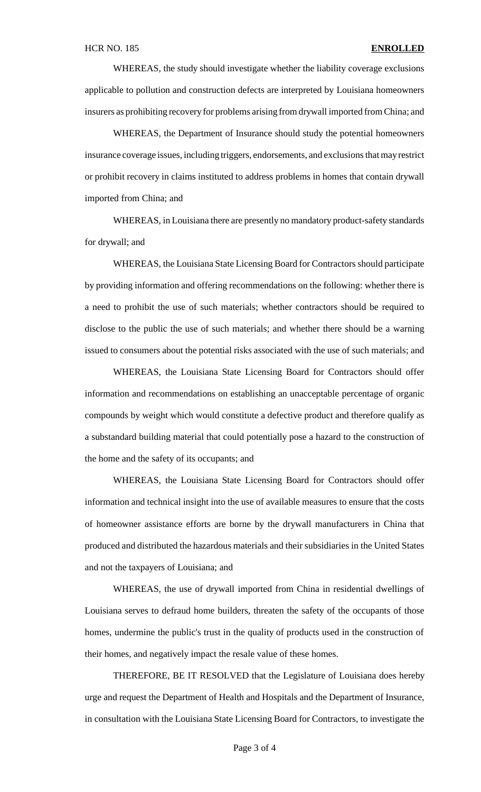WHEREAS, the study should investigate whether the liability coverage exclusions applicable to pollution and construction defects are interpreted by Louisiana homeowners insurers as prohibiting recovery for problems arising from drywall imported from China; and

WHEREAS, the Department of Insurance should study the potential homeowners insurance coverage issues, including triggers, endorsements, and exclusions that may restrict or prohibit recovery in claims instituted to address problems in homes that contain drywall imported from China; and

WHEREAS, in Louisiana there are presently no mandatory product-safety standards for drywall; and

WHEREAS, the Louisiana State Licensing Board for Contractors should participate by providing information and offering recommendations on the following: whether there is a need to prohibit the use of such materials; whether contractors should be required to disclose to the public the use of such materials; and whether there should be a warning issued to consumers about the potential risks associated with the use of such materials; and

WHEREAS, the Louisiana State Licensing Board for Contractors should offer information and recommendations on establishing an unacceptable percentage of organic compounds by weight which would constitute a defective product and therefore qualify as a substandard building material that could potentially pose a hazard to the construction of the home and the safety of its occupants; and

WHEREAS, the Louisiana State Licensing Board for Contractors should offer information and technical insight into the use of available measures to ensure that the costs of homeowner assistance efforts are borne by the drywall manufacturers in China that produced and distributed the hazardous materials and their subsidiaries in the United States and not the taxpayers of Louisiana; and

WHEREAS, the use of drywall imported from China in residential dwellings of Louisiana serves to defraud home builders, threaten the safety of the occupants of those homes, undermine the public's trust in the quality of products used in the construction of their homes, and negatively impact the resale value of these homes.

THEREFORE, BE IT RESOLVED that the Legislature of Louisiana does hereby urge and request the Department of Health and Hospitals and the Department of Insurance, in consultation with the Louisiana State Licensing Board for Contractors, to investigate the